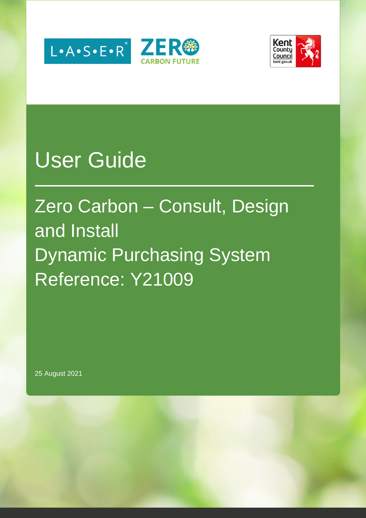



# User Guide

# Zero Carbon – Consult, Design and Install Dynamic Purchasing System Reference: Y21009

25 August 2021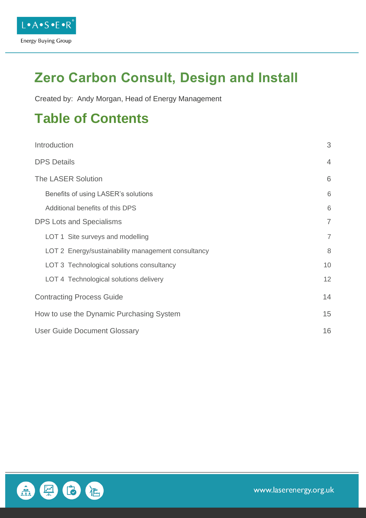

## **Zero Carbon Consult, Design and Install**

Created by: Andy Morgan, Head of Energy Management

### **Table of Contents**

| Introduction                                       | 3              |
|----------------------------------------------------|----------------|
| <b>DPS Details</b>                                 | $\overline{4}$ |
| The LASER Solution                                 | 6              |
| Benefits of using LASER's solutions                | 6              |
| Additional benefits of this DPS                    | 6              |
| <b>DPS Lots and Specialisms</b>                    | $\overline{7}$ |
| LOT 1 Site surveys and modelling                   | $\overline{7}$ |
| LOT 2 Energy/sustainability management consultancy | 8              |
| LOT 3 Technological solutions consultancy          | 10             |
| LOT 4 Technological solutions delivery             | 12             |
| <b>Contracting Process Guide</b>                   | 14             |
| How to use the Dynamic Purchasing System           | 15             |
| <b>User Guide Document Glossary</b>                | 16             |

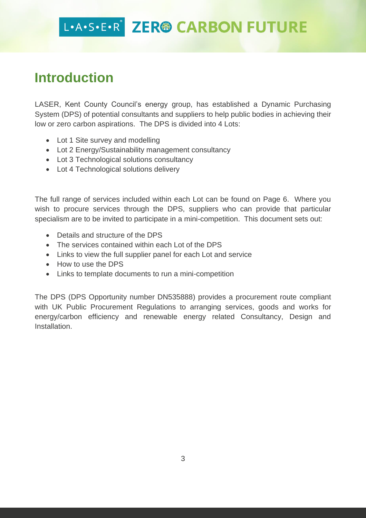### **Introduction**

LASER, Kent County Council's energy group, has established a Dynamic Purchasing System (DPS) of potential consultants and suppliers to help public bodies in achieving their low or zero carbon aspirations. The DPS is divided into 4 Lots:

- Lot 1 Site survey and modelling
- Lot 2 Energy/Sustainability management consultancy
- Lot 3 Technological solutions consultancy
- Lot 4 Technological solutions delivery

The full range of services included within each Lot can be found on Page 6. Where you wish to procure services through the DPS, suppliers who can provide that particular specialism are to be invited to participate in a mini-competition. This document sets out:

- Details and structure of the DPS
- The services contained within each Lot of the DPS
- Links to view the full supplier panel for each Lot and service
- How to use the DPS
- Links to template documents to run a mini-competition

The DPS (DPS Opportunity number DN535888) provides a procurement route compliant with UK Public Procurement Regulations to arranging services, goods and works for energy/carbon efficiency and renewable energy related Consultancy, Design and Installation.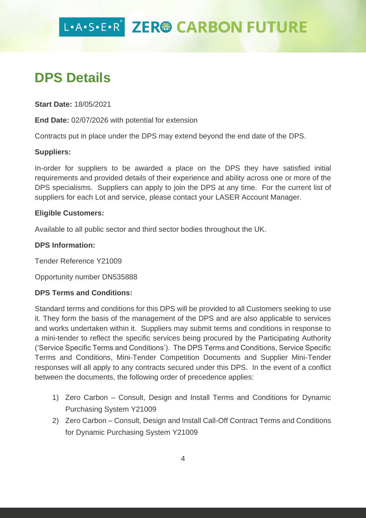### **DPS Details**

**Start Date:** 18/05/2021

**End Date:** 02/07/2026 with potential for extension

Contracts put in place under the DPS may extend beyond the end date of the DPS.

#### **Suppliers:**

In-order for suppliers to be awarded a place on the DPS they have satisfied initial requirements and provided details of their experience and ability across one or more of the DPS specialisms. Suppliers can apply to join the DPS at any time. For the current list of suppliers for each Lot and service, please contact your LASER Account Manager.

#### **Eligible Customers:**

Available to all public sector and third sector bodies throughout the UK.

#### **DPS Information:**

Tender Reference Y21009

Opportunity number DN535888

#### **DPS Terms and Conditions:**

Standard terms and conditions for this DPS will be provided to all Customers seeking to use it. They form the basis of the management of the DPS and are also applicable to services and works undertaken within it. Suppliers may submit terms and conditions in response to a mini-tender to reflect the specific services being procured by the Participating Authority ('Service Specific Terms and Conditions'). The DPS Terms and Conditions, Service Specific Terms and Conditions, Mini-Tender Competition Documents and Supplier Mini-Tender responses will all apply to any contracts secured under this DPS. In the event of a conflict between the documents, the following order of precedence applies:

- 1) Zero Carbon Consult, Design and Install Terms and Conditions for Dynamic Purchasing System Y21009
- 2) Zero Carbon Consult, Design and Install Call-Off Contract Terms and Conditions for Dynamic Purchasing System Y21009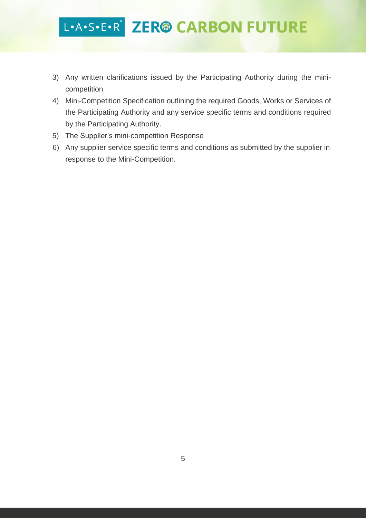- 3) Any written clarifications issued by the Participating Authority during the minicompetition
- 4) Mini-Competition Specification outlining the required Goods, Works or Services of the Participating Authority and any service specific terms and conditions required by the Participating Authority.
- 5) The Supplier's mini-competition Response
- 6) Any supplier service specific terms and conditions as submitted by the supplier in response to the Mini-Competition.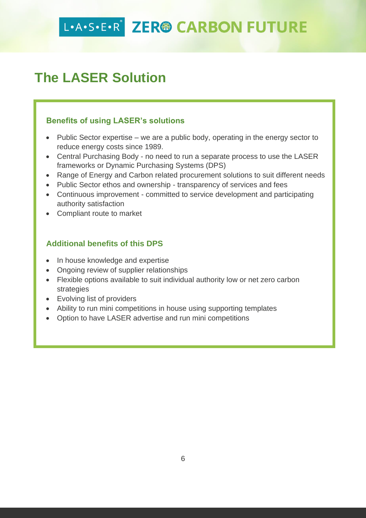### **The LASER Solution**

#### **Benefits of using LASER's solutions**

- Public Sector expertise we are a public body, operating in the energy sector to reduce energy costs since 1989.
- Central Purchasing Body no need to run a separate process to use the LASER frameworks or Dynamic Purchasing Systems (DPS)
- Range of Energy and Carbon related procurement solutions to suit different needs
- Public Sector ethos and ownership transparency of services and fees
- Continuous improvement committed to service development and participating authority satisfaction
- Compliant route to market

#### **Additional benefits of this DPS**

- In house knowledge and expertise
- Ongoing review of supplier relationships
- Flexible options available to suit individual authority low or net zero carbon strategies
- Evolving list of providers
- Ability to run mini competitions in house using supporting templates
- Option to have LASER advertise and run mini competitions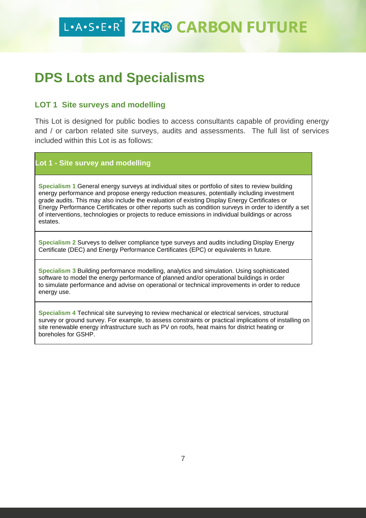### **DPS Lots and Specialisms**

#### **LOT 1 Site surveys and modelling**

This Lot is designed for public bodies to access consultants capable of providing energy and / or carbon related site surveys, audits and assessments. The full list of services included within this Lot is as follows:

#### **Lot 1 - Site survey and modelling**

**Specialism 1** General energy surveys at individual sites or portfolio of sites to review building energy performance and propose energy reduction measures, potentially including investment grade audits. This may also include the evaluation of existing Display Energy Certificates or Energy Performance Certificates or other reports such as condition surveys in order to identify a set of interventions, technologies or projects to reduce emissions in individual buildings or across estates.

**Specialism 2** Surveys to deliver compliance type surveys and audits including Display Energy Certificate (DEC) and Energy Performance Certificates (EPC) or equivalents in future.

**Specialism 3** Building performance modelling, analytics and simulation. Using sophisticated software to model the energy performance of planned and/or operational buildings in order to simulate performance and advise on operational or technical improvements in order to reduce energy use.

**Specialism 4** Technical site surveying to review mechanical or electrical services, structural survey or ground survey. For example, to assess constraints or practical implications of installing on site renewable energy infrastructure such as PV on roofs, heat mains for district heating or boreholes for GSHP.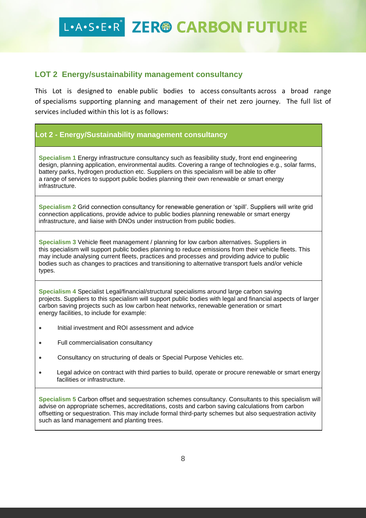#### **LOT 2 Energy/sustainability management consultancy**

This Lot is designed to enable public bodies to access consultants across a broad range of specialisms supporting planning and management of their net zero journey. The full list of services included within this lot is as follows:

#### **Lot 2 - Energy/Sustainability management consultancy**

**Specialism 1** Energy infrastructure consultancy such as feasibility study, front end engineering design, planning application, environmental audits. Covering a range of technologies e.g., solar farms, battery parks, hydrogen production etc. Suppliers on this specialism will be able to offer a range of services to support public bodies planning their own renewable or smart energy infrastructure.

**Specialism 2** Grid connection consultancy for renewable generation or 'spill'. Suppliers will write grid connection applications, provide advice to public bodies planning renewable or smart energy infrastructure, and liaise with DNOs under instruction from public bodies.

**Specialism 3** Vehicle fleet management / planning for low carbon alternatives. Suppliers in this specialism will support public bodies planning to reduce emissions from their vehicle fleets. This may include analysing current fleets, practices and processes and providing advice to public bodies such as changes to practices and transitioning to alternative transport fuels and/or vehicle types.

**Specialism 4** Specialist Legal/financial/structural specialisms around large carbon saving projects. Suppliers to this specialism will support public bodies with legal and financial aspects of larger carbon saving projects such as low carbon heat networks, renewable generation or smart energy facilities, to include for example:

- Initial investment and ROI assessment and advice
- Full commercialisation consultancy
- Consultancy on structuring of deals or Special Purpose Vehicles etc.
- Legal advice on contract with third parties to build, operate or procure renewable or smart energy facilities or infrastructure.

**Specialism 5** Carbon offset and sequestration schemes consultancy. Consultants to this specialism will advise on appropriate schemes, accreditations, costs and carbon saving calculations from carbon offsetting or sequestration. This may include formal third-party schemes but also sequestration activity such as land management and planting trees.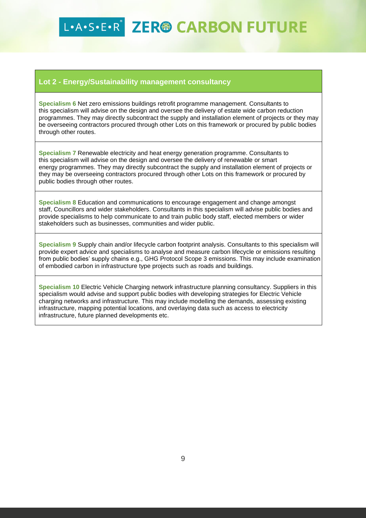#### **Lot 2 - Energy/Sustainability management consultancy**

**Specialism 6** Net zero emissions buildings retrofit programme management. Consultants to this specialism will advise on the design and oversee the delivery of estate wide carbon reduction programmes. They may directly subcontract the supply and installation element of projects or they may be overseeing contractors procured through other Lots on this framework or procured by public bodies through other routes.

**Specialism 7** Renewable electricity and heat energy generation programme. Consultants to this specialism will advise on the design and oversee the delivery of renewable or smart energy programmes. They may directly subcontract the supply and installation element of projects or they may be overseeing contractors procured through other Lots on this framework or procured by public bodies through other routes.

**Specialism 8** Education and communications to encourage engagement and change amongst staff, Councillors and wider stakeholders. Consultants in this specialism will advise public bodies and provide specialisms to help communicate to and train public body staff, elected members or wider stakeholders such as businesses, communities and wider public.

**Specialism 9** Supply chain and/or lifecycle carbon footprint analysis. Consultants to this specialism will provide expert advice and specialisms to analyse and measure carbon lifecycle or emissions resulting from public bodies' supply chains e.g., GHG Protocol Scope 3 emissions. This may include examination of embodied carbon in infrastructure type projects such as roads and buildings.

**Specialism 10** Electric Vehicle Charging network infrastructure planning consultancy. Suppliers in this specialism would advise and support public bodies with developing strategies for Electric Vehicle charging networks and infrastructure. This may include modelling the demands, assessing existing infrastructure, mapping potential locations, and overlaying data such as access to electricity infrastructure, future planned developments etc.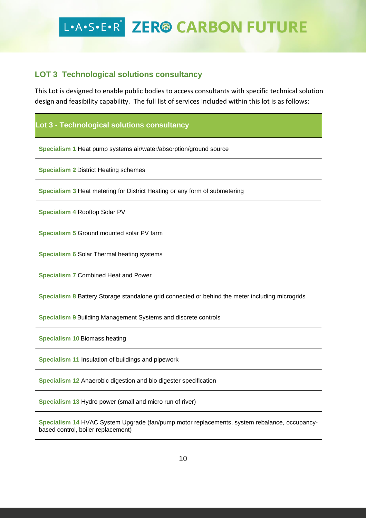#### **LOT 3 Technological solutions consultancy**

This Lot is designed to enable public bodies to access consultants with specific technical solution design and feasibility capability. The full list of services included within this lot is as follows:

#### **Lot 3 - Technological solutions consultancy**

**Specialism 1** Heat pump systems air/water/absorption/ground source

**Specialism 2** District Heating schemes

**Specialism 3** Heat metering for District Heating or any form of submetering

**Specialism 4** Rooftop Solar PV

**Specialism 5** Ground mounted solar PV farm

**Specialism 6** Solar Thermal heating systems

**Specialism 7** Combined Heat and Power

**Specialism 8** Battery Storage standalone grid connected or behind the meter including microgrids

**Specialism 9** Building Management Systems and discrete controls

**Specialism 10** Biomass heating

**Specialism 11** Insulation of buildings and pipework

**Specialism 12** Anaerobic digestion and bio digester specification

**Specialism 13** Hydro power (small and micro run of river)

**Specialism 14** HVAC System Upgrade (fan/pump motor replacements, system rebalance, occupancybased control, boiler replacement)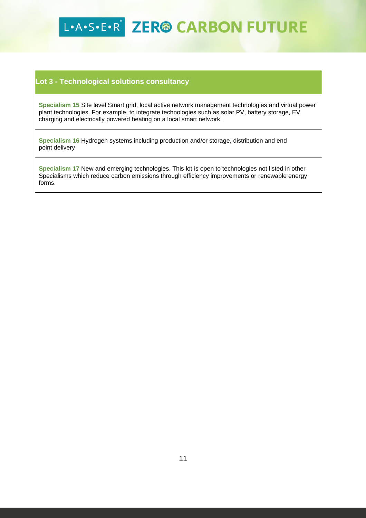#### **Lot 3 - Technological solutions consultancy**

**Specialism 15** Site level Smart grid, local active network management technologies and virtual power plant technologies. For example, to integrate technologies such as solar PV, battery storage, EV charging and electrically powered heating on a local smart network.

**Specialism 16** Hydrogen systems including production and/or storage, distribution and end point delivery

**Specialism 17** New and emerging technologies. This lot is open to technologies not listed in other Specialisms which reduce carbon emissions through efficiency improvements or renewable energy forms.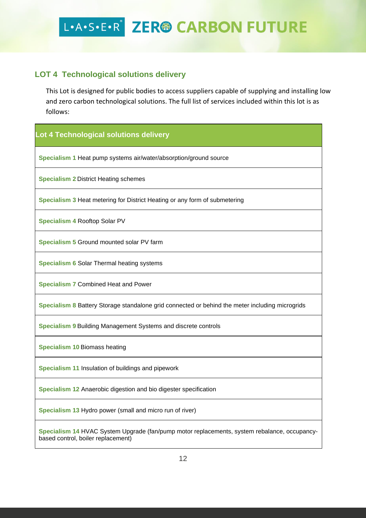#### **LOT 4 Technological solutions delivery**

This Lot is designed for public bodies to access suppliers capable of supplying and installing low and zero carbon technological solutions. The full list of services included within this lot is as follows:

#### **Lot 4 Technological solutions delivery**

**Specialism 1** Heat pump systems air/water/absorption/ground source

**Specialism 2** District Heating schemes

**Specialism 3** Heat metering for District Heating or any form of submetering

**Specialism 4** Rooftop Solar PV

**Specialism 5** Ground mounted solar PV farm

**Specialism 6** Solar Thermal heating systems

**Specialism 7** Combined Heat and Power

**Specialism 8** Battery Storage standalone grid connected or behind the meter including microgrids

**Specialism 9** Building Management Systems and discrete controls

**Specialism 10** Biomass heating

**Specialism 11** Insulation of buildings and pipework

**Specialism 12** Anaerobic digestion and bio digester specification

**Specialism 13** Hydro power (small and micro run of river)

**Specialism 14** HVAC System Upgrade (fan/pump motor replacements, system rebalance, occupancybased control, boiler replacement)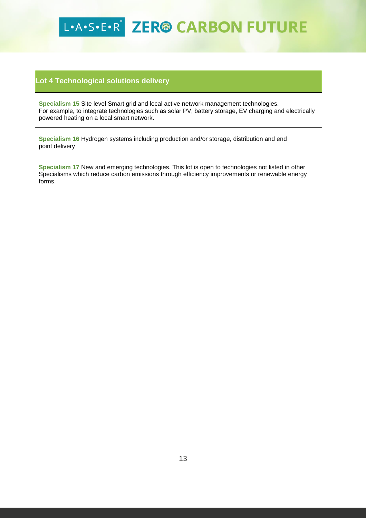#### **Lot 4 Technological solutions delivery**

**Specialism 15** Site level Smart grid and local active network management technologies. For example, to integrate technologies such as solar PV, battery storage, EV charging and electrically powered heating on a local smart network.

**Specialism 16** Hydrogen systems including production and/or storage, distribution and end point delivery

**Specialism 17** New and emerging technologies. This lot is open to technologies not listed in other Specialisms which reduce carbon emissions through efficiency improvements or renewable energy forms.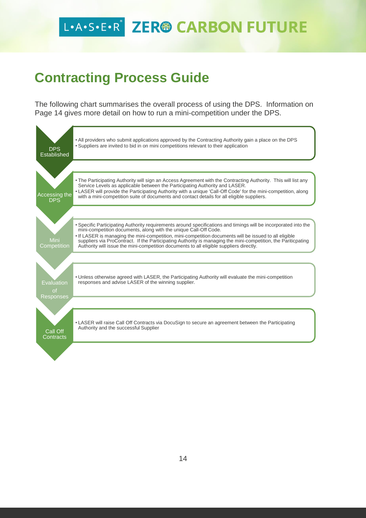### **Contracting Process Guide**

The following chart summarises the overall process of using the DPS. Information on Page 14 gives more detail on how to run a mini-competition under the DPS.

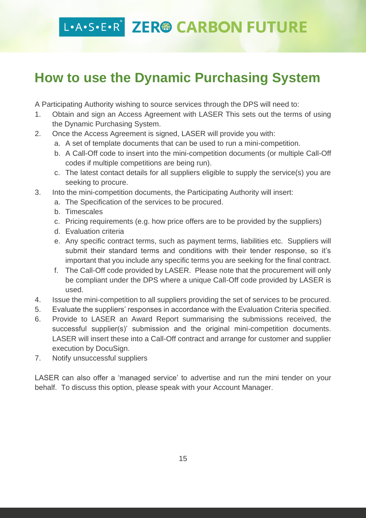### **How to use the Dynamic Purchasing System**

A Participating Authority wishing to source services through the DPS will need to:

- 1. Obtain and sign an Access Agreement with LASER This sets out the terms of using the Dynamic Purchasing System.
- 2. Once the Access Agreement is signed, LASER will provide you with:
	- a. A set of template documents that can be used to run a mini-competition.
	- b. A Call-Off code to insert into the mini-competition documents (or multiple Call-Off codes if multiple competitions are being run).
	- c. The latest contact details for all suppliers eligible to supply the service(s) you are seeking to procure.
- 3. Into the mini-competition documents, the Participating Authority will insert:
	- a. The Specification of the services to be procured.
	- b. Timescales
	- c. Pricing requirements (e.g. how price offers are to be provided by the suppliers)
	- d. Evaluation criteria
	- e. Any specific contract terms, such as payment terms, liabilities etc. Suppliers will submit their standard terms and conditions with their tender response, so it's important that you include any specific terms you are seeking for the final contract.
	- f. The Call-Off code provided by LASER. Please note that the procurement will only be compliant under the DPS where a unique Call-Off code provided by LASER is used.
- 4. Issue the mini-competition to all suppliers providing the set of services to be procured.
- 5. Evaluate the suppliers' responses in accordance with the Evaluation Criteria specified.
- 6. Provide to LASER an Award Report summarising the submissions received, the successful supplier(s)' submission and the original mini-competition documents. LASER will insert these into a Call-Off contract and arrange for customer and supplier execution by DocuSign.
- 7. Notify unsuccessful suppliers

LASER can also offer a 'managed service' to advertise and run the mini tender on your behalf. To discuss this option, please speak with your Account Manager.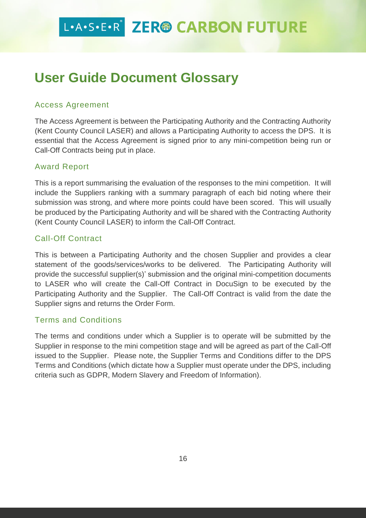### **User Guide Document Glossary**

#### Access Agreement

The Access Agreement is between the Participating Authority and the Contracting Authority (Kent County Council LASER) and allows a Participating Authority to access the DPS. It is essential that the Access Agreement is signed prior to any mini-competition being run or Call-Off Contracts being put in place.

#### Award Report

This is a report summarising the evaluation of the responses to the mini competition. It will include the Suppliers ranking with a summary paragraph of each bid noting where their submission was strong, and where more points could have been scored. This will usually be produced by the Participating Authority and will be shared with the Contracting Authority (Kent County Council LASER) to inform the Call-Off Contract.

#### Call-Off Contract

This is between a Participating Authority and the chosen Supplier and provides a clear statement of the goods/services/works to be delivered. The Participating Authority will provide the successful supplier(s)' submission and the original mini-competition documents to LASER who will create the Call-Off Contract in DocuSign to be executed by the Participating Authority and the Supplier. The Call-Off Contract is valid from the date the Supplier signs and returns the Order Form.

#### Terms and Conditions

The terms and conditions under which a Supplier is to operate will be submitted by the Supplier in response to the mini competition stage and will be agreed as part of the Call-Off issued to the Supplier. Please note, the Supplier Terms and Conditions differ to the DPS Terms and Conditions (which dictate how a Supplier must operate under the DPS, including criteria such as GDPR, Modern Slavery and Freedom of Information).